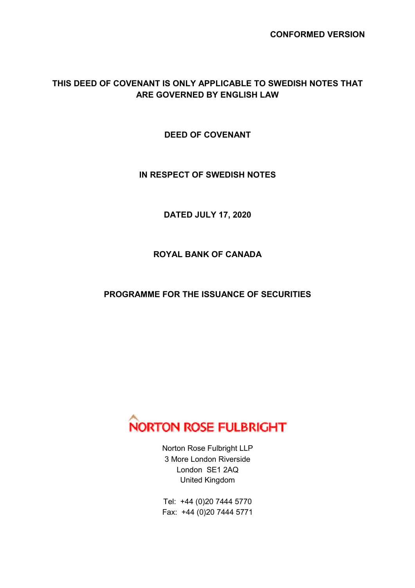## **THIS DEED OF COVENANT IS ONLY APPLICABLE TO SWEDISH NOTES THAT ARE GOVERNED BY ENGLISH LAW**

**DEED OF COVENANT** 

**IN RESPECT OF SWEDISH NOTES** 

**DATED JULY 17, 2020** 

**ROYAL BANK OF CANADA** 

**PROGRAMME FOR THE ISSUANCE OF SECURITIES** 



Norton Rose Fulbright LLP 3 More London Riverside London SE1 2AQ United Kingdom

Tel: +44 (0)20 7444 5770 Fax: +44 (0)20 7444 5771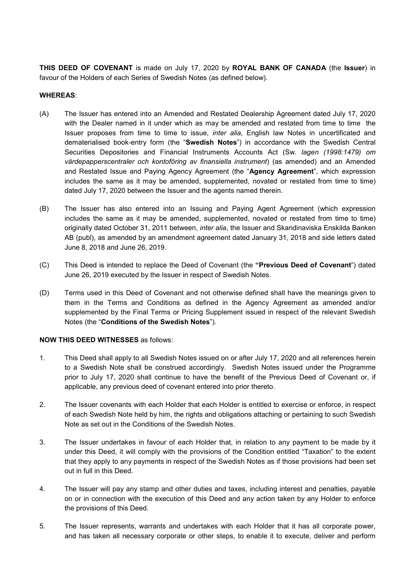**THIS DEED OF COVENANT** is made on July 17, 2020 by **ROYAL BANK OF CANADA** (the **Issuer**) in favour of the Holders of each Series of Swedish Notes (as defined below).

## **WHEREAS**:

- (A) The Issuer has entered into an Amended and Restated Dealership Agreement dated July 17, 2020 with the Dealer named in it under which as may be amended and restated from time to time the Issuer proposes from time to time to issue, *inter alia*, English law Notes in uncertificated and dematerialised book-entry form (the "**Swedish Notes**") in accordance with the Swedish Central Securities Depositories and Financial Instruments Accounts Act (Sw. *lagen (1998:1479) om värdepapperscentraler och kontoföring av finansiella instrument*) (as amended) and an Amended and Restated Issue and Paying Agency Agreement (the "**Agency Agreement**", which expression includes the same as it may be amended, supplemented, novated or restated from time to time) dated July 17, 2020 between the Issuer and the agents named therein.
- (B) The Issuer has also entered into an Issuing and Paying Agent Agreement (which expression includes the same as it may be amended, supplemented, novated or restated from time to time) originally dated October 31, 2011 between, *inter alia*, the Issuer and Skandinaviska Enskilda Banken AB (publ), as amended by an amendment agreement dated January 31, 2018 and side letters dated June 8, 2018 and June 26, 2019.
- (C) This Deed is intended to replace the Deed of Covenant (the **"Previous Deed of Covenant**") dated June 26, 2019 executed by the Issuer in respect of Swedish Notes.
- (D) Terms used in this Deed of Covenant and not otherwise defined shall have the meanings given to them in the Terms and Conditions as defined in the Agency Agreement as amended and/or supplemented by the Final Terms or Pricing Supplement issued in respect of the relevant Swedish Notes (the "**Conditions of the Swedish Notes**").

## **NOW THIS DEED WITNESSES** as follows:

- 1. This Deed shall apply to all Swedish Notes issued on or after July 17, 2020 and all references herein to a Swedish Note shall be construed accordingly. Swedish Notes issued under the Programme prior to July 17, 2020 shall continue to have the benefit of the Previous Deed of Covenant or, if applicable, any previous deed of covenant entered into prior thereto.
- 2. The Issuer covenants with each Holder that each Holder is entitled to exercise or enforce, in respect of each Swedish Note held by him, the rights and obligations attaching or pertaining to such Swedish Note as set out in the Conditions of the Swedish Notes.
- 3. The Issuer undertakes in favour of each Holder that, in relation to any payment to be made by it under this Deed, it will comply with the provisions of the Condition entitled "Taxation" to the extent that they apply to any payments in respect of the Swedish Notes as if those provisions had been set out in full in this Deed.
- 4. The Issuer will pay any stamp and other duties and taxes, including interest and penalties, payable on or in connection with the execution of this Deed and any action taken by any Holder to enforce the provisions of this Deed.
- 5. The Issuer represents, warrants and undertakes with each Holder that it has all corporate power, and has taken all necessary corporate or other steps, to enable it to execute, deliver and perform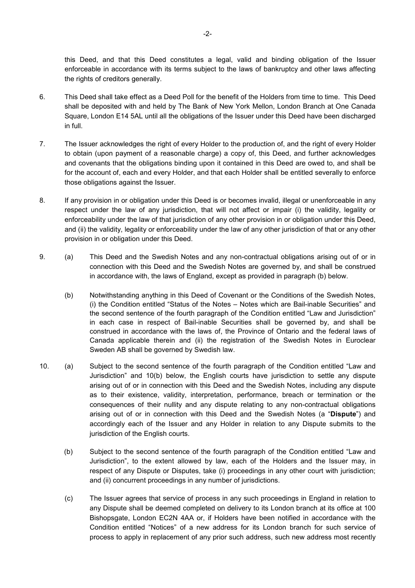this Deed, and that this Deed constitutes a legal, valid and binding obligation of the Issuer enforceable in accordance with its terms subject to the laws of bankruptcy and other laws affecting the rights of creditors generally.

- 6. This Deed shall take effect as a Deed Poll for the benefit of the Holders from time to time. This Deed shall be deposited with and held by The Bank of New York Mellon, London Branch at One Canada Square, London E14 5AL until all the obligations of the Issuer under this Deed have been discharged in full.
- 7. The Issuer acknowledges the right of every Holder to the production of, and the right of every Holder to obtain (upon payment of a reasonable charge) a copy of, this Deed, and further acknowledges and covenants that the obligations binding upon it contained in this Deed are owed to, and shall be for the account of, each and every Holder, and that each Holder shall be entitled severally to enforce those obligations against the Issuer.
- 8. If any provision in or obligation under this Deed is or becomes invalid, illegal or unenforceable in any respect under the law of any jurisdiction, that will not affect or impair (i) the validity, legality or enforceability under the law of that jurisdiction of any other provision in or obligation under this Deed, and (ii) the validity, legality or enforceability under the law of any other jurisdiction of that or any other provision in or obligation under this Deed.
- 9. (a) This Deed and the Swedish Notes and any non-contractual obligations arising out of or in connection with this Deed and the Swedish Notes are governed by, and shall be construed in accordance with, the laws of England, except as provided in paragraph (b) below.
	- (b) Notwithstanding anything in this Deed of Covenant or the Conditions of the Swedish Notes, (i) the Condition entitled "Status of the Notes – Notes which are Bail-inable Securities" and the second sentence of the fourth paragraph of the Condition entitled "Law and Jurisdiction" in each case in respect of Bail-inable Securities shall be governed by, and shall be construed in accordance with the laws of, the Province of Ontario and the federal laws of Canada applicable therein and (ii) the registration of the Swedish Notes in Euroclear Sweden AB shall be governed by Swedish law.
- 10. (a) Subject to the second sentence of the fourth paragraph of the Condition entitled "Law and Jurisdiction" and 10(b) below, the English courts have jurisdiction to settle any dispute arising out of or in connection with this Deed and the Swedish Notes, including any dispute as to their existence, validity, interpretation, performance, breach or termination or the consequences of their nullity and any dispute relating to any non-contractual obligations arising out of or in connection with this Deed and the Swedish Notes (a "**Dispute**") and accordingly each of the Issuer and any Holder in relation to any Dispute submits to the jurisdiction of the English courts.
	- (b) Subject to the second sentence of the fourth paragraph of the Condition entitled "Law and Jurisdiction", to the extent allowed by law, each of the Holders and the Issuer may, in respect of any Dispute or Disputes, take (i) proceedings in any other court with jurisdiction; and (ii) concurrent proceedings in any number of jurisdictions.
	- (c) The Issuer agrees that service of process in any such proceedings in England in relation to any Dispute shall be deemed completed on delivery to its London branch at its office at 100 Bishopsgate, London EC2N 4AA or, if Holders have been notified in accordance with the Condition entitled "Notices" of a new address for its London branch for such service of process to apply in replacement of any prior such address, such new address most recently